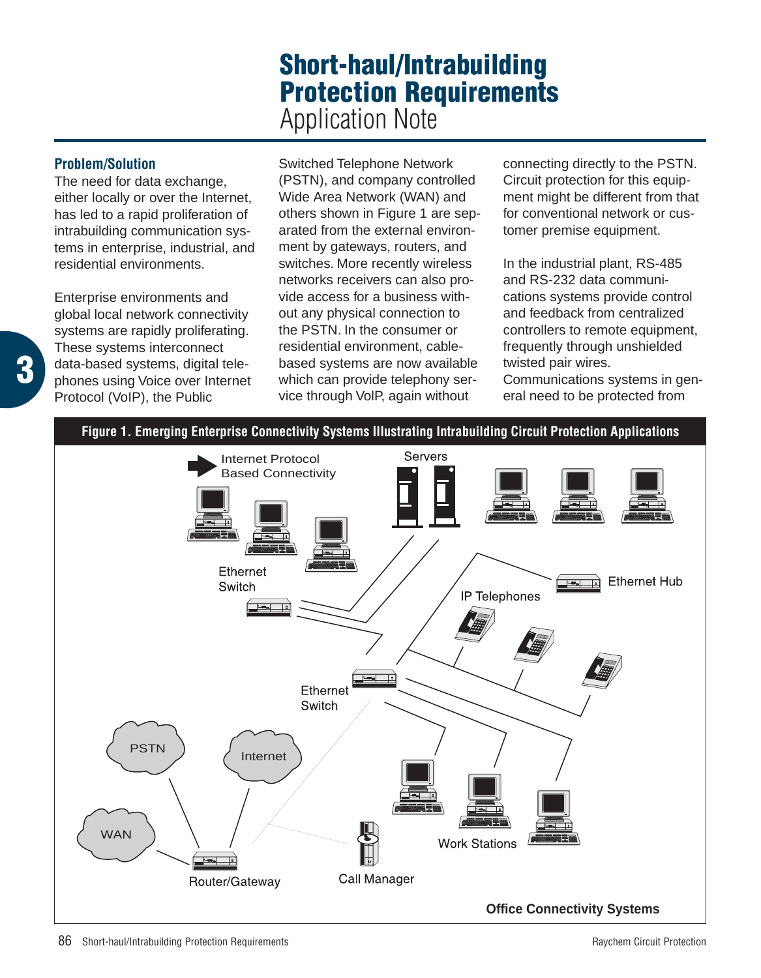# **Short-haul/Intrabuilding Protection Requirements** Application Note

## **Problem/Solution**

**3**

The need for data exchange. either locally or over the Internet, has led to a rapid proliferation of intrabuilding communication systems in enterprise, industrial, and residential environments.

Enterprise environments and global local network connectivity systems are rapidly proliferating. These systems interconnect data-based systems, digital telephones using Voice over Internet Protocol (VoIP), the Public

Switched Telephone Network (PSTN), and company controlled Wide Area Network (WAN) and others shown in Figure 1 are separated from the external environment by gateways, routers, and switches. More recently wireless networks receivers can also provide access for a business without any physical connection to the PSTN. In the consumer or residential environment, cablebased systems are now available which can provide telephony service through VolP, again without

connecting directly to the PSTN. Circuit protection for this equipment might be different from that for conventional network or customer premise equipment.

In the industrial plant, RS-485 and RS-232 data communications systems provide control and feedback from centralized controllers to remote equipment, frequently through unshielded twisted pair wires. Communications systems in general need to be protected from

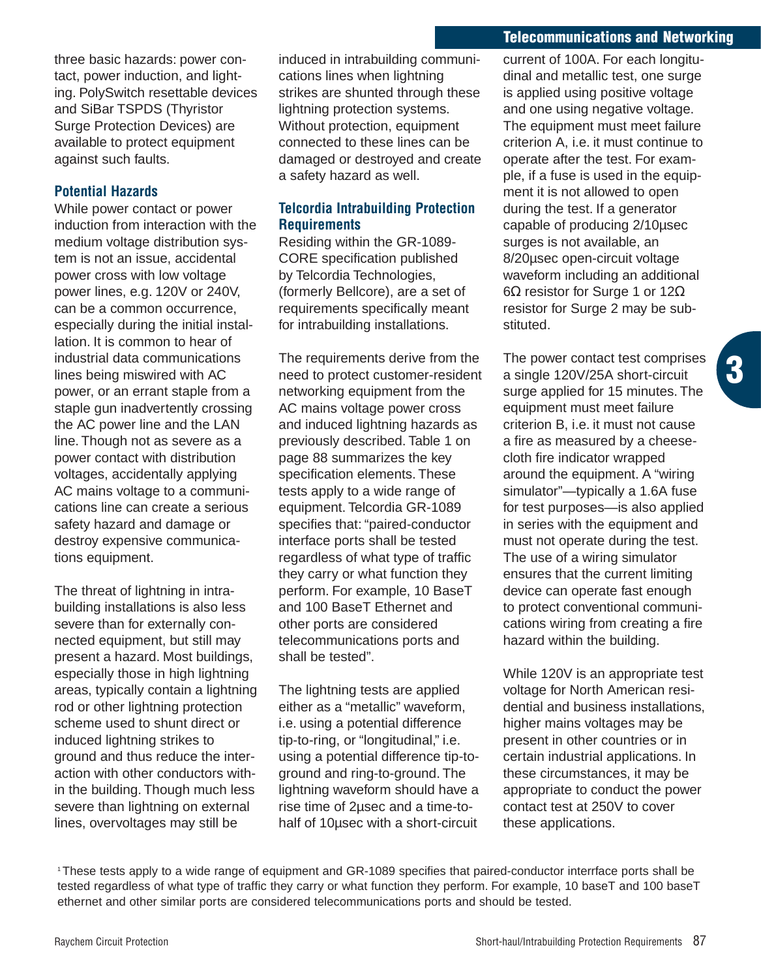#### **Telecommunications and Networking**

three basic hazards: power contact, power induction, and lighting. PolySwitch resettable devices and SiBar TSPDS (Thyristor Surge Protection Devices) are available to protect equipment against such faults.

## **Potential Hazards**

While power contact or power induction from interaction with the medium voltage distribution system is not an issue, accidental power cross with low voltage power lines, e.g. 120V or 240V, can be a common occurrence, especially during the initial installation. It is common to hear of industrial data communications lines being miswired with AC power, or an errant staple from a staple gun inadvertently crossing the AC power line and the LAN line. Though not as severe as a power contact with distribution voltages, accidentally applying AC mains voltage to a communications line can create a serious safety hazard and damage or destroy expensive communications equipment.

The threat of lightning in intrabuilding installations is also less severe than for externally connected equipment, but still may present a hazard. Most buildings, especially those in high lightning areas, typically contain a lightning rod or other lightning protection scheme used to shunt direct or induced lightning strikes to ground and thus reduce the interaction with other conductors within the building. Though much less severe than lightning on external lines, overvoltages may still be

induced in intrabuilding communications lines when lightning strikes are shunted through these lightning protection systems. Without protection, equipment connected to these lines can be damaged or destroyed and create a safety hazard as well.

## **Telcordia Intrabuilding Protection Requirements**

Residing within the GR-1089- CORE specification published by Telcordia Technologies, (formerly Bellcore), are a set of requirements specifically meant for intrabuilding installations.

The requirements derive from the need to protect customer-resident networking equipment from the AC mains voltage power cross and induced lightning hazards as previously described. Table 1 on page 88 summarizes the key specification elements. These tests apply to a wide range of equipment. Telcordia GR-1089 specifies that: "paired-conductor interface ports shall be tested regardless of what type of traffic they carry or what function they perform. For example, 10 BaseT and 100 BaseT Ethernet and other ports are considered telecommunications ports and shall be tested".

The lightning tests are applied either as a "metallic" waveform, i.e. using a potential difference tip-to-ring, or "longitudinal," i.e. using a potential difference tip-toground and ring-to-ground. The lightning waveform should have a rise time of 2µsec and a time-tohalf of 10µsec with a short-circuit

current of 100A. For each longitudinal and metallic test, one surge is applied using positive voltage and one using negative voltage. The equipment must meet failure criterion A, i.e. it must continue to operate after the test. For example, if a fuse is used in the equipment it is not allowed to open during the test. If a generator capable of producing 2/10µsec surges is not available, an 8/20µsec open-circuit voltage waveform including an additional 6Ω resistor for Surge 1 or 12Ω resistor for Surge 2 may be substituted.

The power contact test comprises a single 120V/25A short-circuit surge applied for 15 minutes. The equipment must meet failure criterion B, i.e. it must not cause a fire as measured by a cheesecloth fire indicator wrapped around the equipment. A "wiring simulator"—typically a 1.6A fuse for test purposes—is also applied in series with the equipment and must not operate during the test. The use of a wiring simulator ensures that the current limiting device can operate fast enough to protect conventional communications wiring from creating a fire hazard within the building.

**3**

While 120V is an appropriate test voltage for North American residential and business installations, higher mains voltages may be present in other countries or in certain industrial applications. In these circumstances, it may be appropriate to conduct the power contact test at 250V to cover these applications.

1 These tests apply to a wide range of equipment and GR-1089 specifies that paired-conductor interrface ports shall be tested regardless of what type of traffic they carry or what function they perform. For example, 10 baseT and 100 baseT ethernet and other similar ports are considered telecommunications ports and should be tested.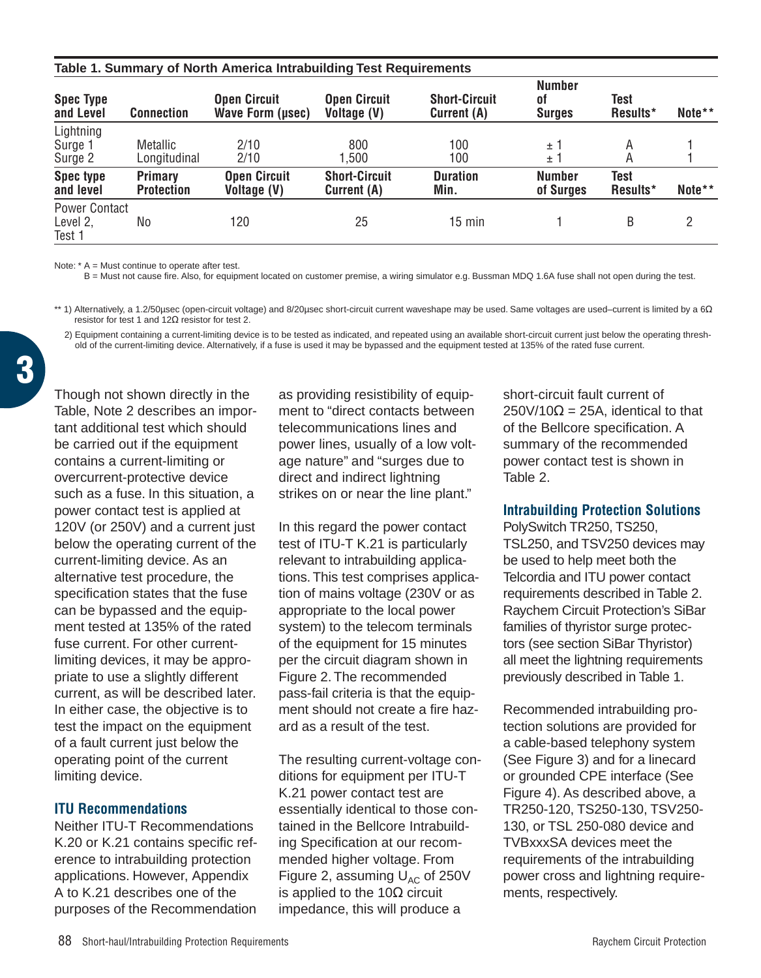| Table 1. Summary of North America Intrabuilding Test Requirements |                                     |                                         |                                     |                                     |                                      |                  |        |  |
|-------------------------------------------------------------------|-------------------------------------|-----------------------------------------|-------------------------------------|-------------------------------------|--------------------------------------|------------------|--------|--|
| <b>Spec Type</b><br>and Level                                     | <b>Connection</b>                   | <b>Open Circuit</b><br>Wave Form (usec) | Open Circuit<br>Voltage (V)         | <b>Short-Circuit</b><br>Current (A) | <b>Number</b><br>0f<br><b>Surges</b> | Test<br>Results* | Note** |  |
| Lightning<br>Surge 1<br>Surge 2                                   | Metallic<br>Longitudinal            | 2/10<br>2/10                            | 800<br>1.500                        | 100<br>100                          | ±1<br>±1                             | Α<br>A           |        |  |
| <b>Spec type</b><br>and level                                     | <b>Primary</b><br><b>Protection</b> | <b>Open Circuit</b><br>Voltage (V)      | <b>Short-Circuit</b><br>Current (A) | <b>Duration</b><br>Min.             | <b>Number</b><br>of Surges           | Test<br>Results* | Note** |  |
| <b>Power Contact</b><br>Level 2,<br>Test 1                        | No                                  | 120                                     | 25                                  | $15 \text{ min}$                    |                                      | B                | 2      |  |

 $Note: A = M$ ust continue to operate after test.

B = Must not cause fire. Also, for equipment located on customer premise, a wiring simulator e.g. Bussman MDQ 1.6A fuse shall not open during the test.

\*\* 1) Alternatively, a 1.2/50μsec (open-circuit voltage) and 8/20μsec short-circuit current waveshape may be used. Same voltages are used–current is limited by a 6Ω resistor for test 1 and 12Ω resistor for test 2.

2) Equipment containing a current-limiting device is to be tested as indicated, and repeated using an available short-circuit current just below the operating threshold of the current-limiting device. Alternatively, if a fuse is used it may be bypassed and the equipment tested at 135% of the rated fuse current.

Though not shown directly in the Table, Note 2 describes an important additional test which should be carried out if the equipment contains a current-limiting or overcurrent-protective device such as a fuse. In this situation, a power contact test is applied at 120V (or 250V) and a current just below the operating current of the current-limiting device. As an alternative test procedure, the specification states that the fuse can be bypassed and the equipment tested at 135% of the rated fuse current. For other currentlimiting devices, it may be appropriate to use a slightly different current, as will be described later. In either case, the objective is to test the impact on the equipment of a fault current just below the operating point of the current limiting device.

#### **ITU Recommendations**

Neither ITU-T Recommendations K.20 or K.21 contains specific reference to intrabuilding protection applications. However, Appendix A to K.21 describes one of the purposes of the Recommendation

as providing resistibility of equipment to "direct contacts between telecommunications lines and power lines, usually of a low voltage nature" and "surges due to direct and indirect lightning strikes on or near the line plant."

In this regard the power contact test of ITU-T K.21 is particularly relevant to intrabuilding applications. This test comprises application of mains voltage (230V or as appropriate to the local power system) to the telecom terminals of the equipment for 15 minutes per the circuit diagram shown in Figure 2. The recommended pass-fail criteria is that the equipment should not create a fire hazard as a result of the test.

The resulting current-voltage conditions for equipment per ITU-T K.21 power contact test are essentially identical to those contained in the Bellcore Intrabuilding Specification at our recommended higher voltage. From Figure 2, assuming  $U_{AC}$  of 250V is applied to the 10 $\Omega$  circuit impedance, this will produce a

short-circuit fault current of  $250V/10\Omega = 25A$ , identical to that of the Bellcore specification. A summary of the recommended power contact test is shown in Table 2.

#### **Intrabuilding Protection Solutions**

PolySwitch TR250, TS250, TSL250, and TSV250 devices may be used to help meet both the Telcordia and ITU power contact requirements described in Table 2. Raychem Circuit Protection's SiBar families of thyristor surge protectors (see section SiBar Thyristor) all meet the lightning requirements previously described in Table 1.

Recommended intrabuilding protection solutions are provided for a cable-based telephony system (See Figure 3) and for a linecard or grounded CPE interface (See Figure 4). As described above, a TR250-120, TS250-130, TSV250- 130, or TSL 250-080 device and TVBxxxSA devices meet the requirements of the intrabuilding power cross and lightning requirements, respectively.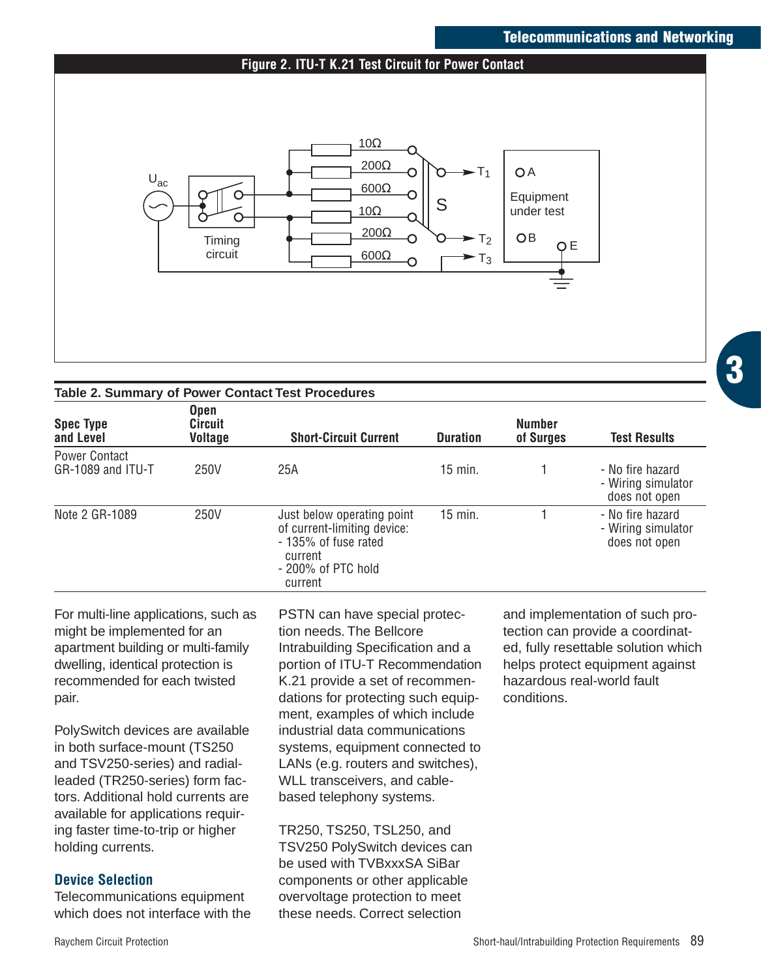## **Telecommunications and Networking**

#### **Figure 2. ITU-T K.21 Test Circuit for Power Contact**



| Table 2. Summary of Power Contact Test Procedures |  |
|---------------------------------------------------|--|
|---------------------------------------------------|--|

| <b>Spec Type</b><br>and Level             | <b>Open</b><br><b>Circuit</b><br>Voltage | <b>Short-Circuit Current</b>                                                                                                  | <b>Duration</b> | <b>Number</b><br>of Surges | <b>Test Results</b>                                     |
|-------------------------------------------|------------------------------------------|-------------------------------------------------------------------------------------------------------------------------------|-----------------|----------------------------|---------------------------------------------------------|
| <b>Power Contact</b><br>GR-1089 and ITU-T | 250V                                     | 25A                                                                                                                           | $15$ min.       |                            | - No fire hazard<br>- Wiring simulator<br>does not open |
| Note 2 GR-1089                            | 250V                                     | Just below operating point<br>of current-limiting device:<br>- 135% of fuse rated<br>current<br>- 200% of PTC hold<br>current | $15$ min.       |                            | - No fire hazard<br>- Wiring simulator<br>does not open |

For multi-line applications, such as might be implemented for an apartment building or multi-family dwelling, identical protection is recommended for each twisted pair.

PolySwitch devices are available in both surface-mount (TS250 and TSV250-series) and radialleaded (TR250-series) form factors. Additional hold currents are available for applications requiring faster time-to-trip or higher holding currents.

## **Device Selection**

Telecommunications equipment which does not interface with the PSTN can have special protection needs. The Bellcore Intrabuilding Specification and a portion of ITU-T Recommendation K.21 provide a set of recommendations for protecting such equipment, examples of which include industrial data communications systems, equipment connected to LANs (e.g. routers and switches), WLL transceivers, and cablebased telephony systems.

TR250, TS250, TSL250, and TSV250 PolySwitch devices can be used with TVBxxxSA SiBar components or other applicable overvoltage protection to meet these needs. Correct selection

and implementation of such protection can provide a coordinated, fully resettable solution which helps protect equipment against hazardous real-world fault conditions.